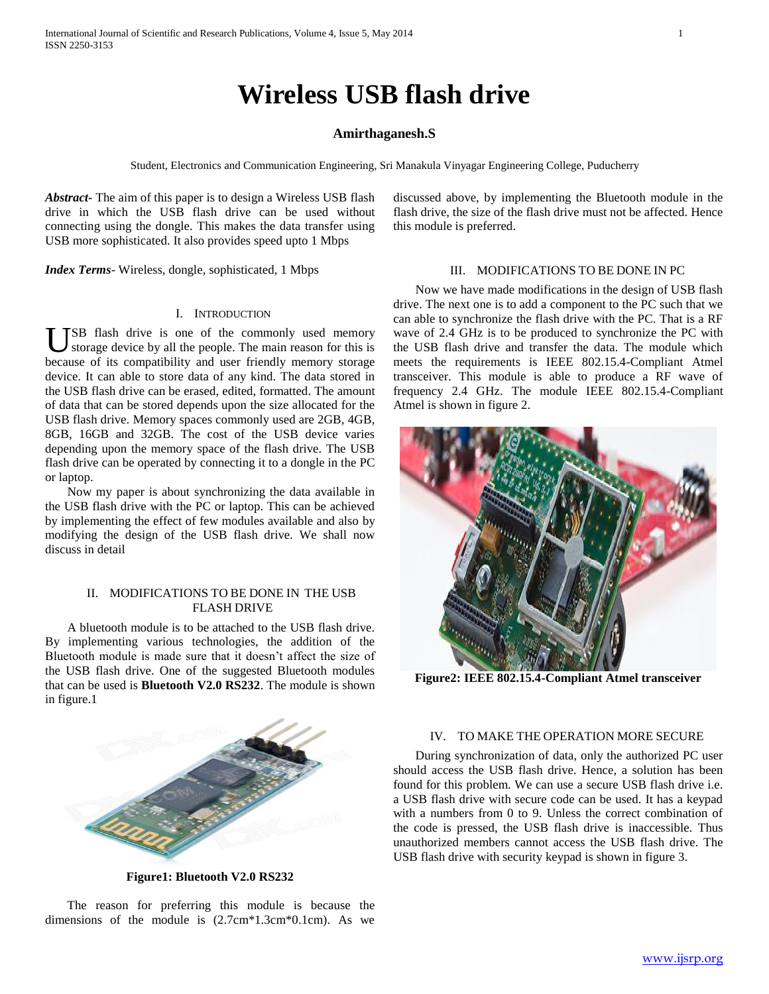# **Wireless USB flash drive**

# **Amirthaganesh.S**

Student, Electronics and Communication Engineering, Sri Manakula Vinyagar Engineering College, Puducherry

*Abstract***-** The aim of this paper is to design a Wireless USB flash drive in which the USB flash drive can be used without connecting using the dongle. This makes the data transfer using USB more sophisticated. It also provides speed upto 1 Mbps

*Index Terms*- Wireless, dongle, sophisticated, 1 Mbps

## I. INTRODUCTION

**TSB** flash drive is one of the commonly used memory storage device by all the people. The main reason for this is **US** SB flash drive is one of the commonly used memory storage device by all the people. The main reason for this is because of its compatibility and user friendly memory storage device. It can able to store data of any kind. The data stored in the USB flash drive can be erased, edited, formatted. The amount of data that can be stored depends upon the size allocated for the USB flash drive. Memory spaces commonly used are 2GB, 4GB, 8GB, 16GB and 32GB. The cost of the USB device varies depending upon the memory space of the flash drive. The USB flash drive can be operated by connecting it to a dongle in the PC or laptop.

 Now my paper is about synchronizing the data available in the USB flash drive with the PC or laptop. This can be achieved by implementing the effect of few modules available and also by modifying the design of the USB flash drive. We shall now discuss in detail

# II. MODIFICATIONS TO BE DONE IN THE USB FLASH DRIVE

 A bluetooth module is to be attached to the USB flash drive. By implementing various technologies, the addition of the Bluetooth module is made sure that it doesn't affect the size of the USB flash drive. One of the suggested Bluetooth modules that can be used is **Bluetooth V2.0 RS232**. The module is shown in figure.1



**Figure1: Bluetooth V2.0 RS232**

 The reason for preferring this module is because the dimensions of the module is (2.7cm\*1.3cm\*0.1cm). As we discussed above, by implementing the Bluetooth module in the flash drive, the size of the flash drive must not be affected. Hence this module is preferred.

## III. MODIFICATIONS TO BE DONE IN PC

 Now we have made modifications in the design of USB flash drive. The next one is to add a component to the PC such that we can able to synchronize the flash drive with the PC. That is a RF wave of 2.4 GHz is to be produced to synchronize the PC with the USB flash drive and transfer the data. The module which meets the requirements is IEEE 802.15.4-Compliant Atmel transceiver. This module is able to produce a RF wave of frequency 2.4 GHz. The module IEEE 802.15.4-Compliant Atmel is shown in figure 2.



**Figure2: IEEE 802.15.4-Compliant Atmel transceiver**

## IV. TO MAKE THE OPERATION MORE SECURE

 During synchronization of data, only the authorized PC user should access the USB flash drive. Hence, a solution has been found for this problem. We can use a secure USB flash drive i.e. a USB flash drive with secure code can be used. It has a keypad with a numbers from 0 to 9. Unless the correct combination of the code is pressed, the USB flash drive is inaccessible. Thus unauthorized members cannot access the USB flash drive. The USB flash drive with security keypad is shown in figure 3.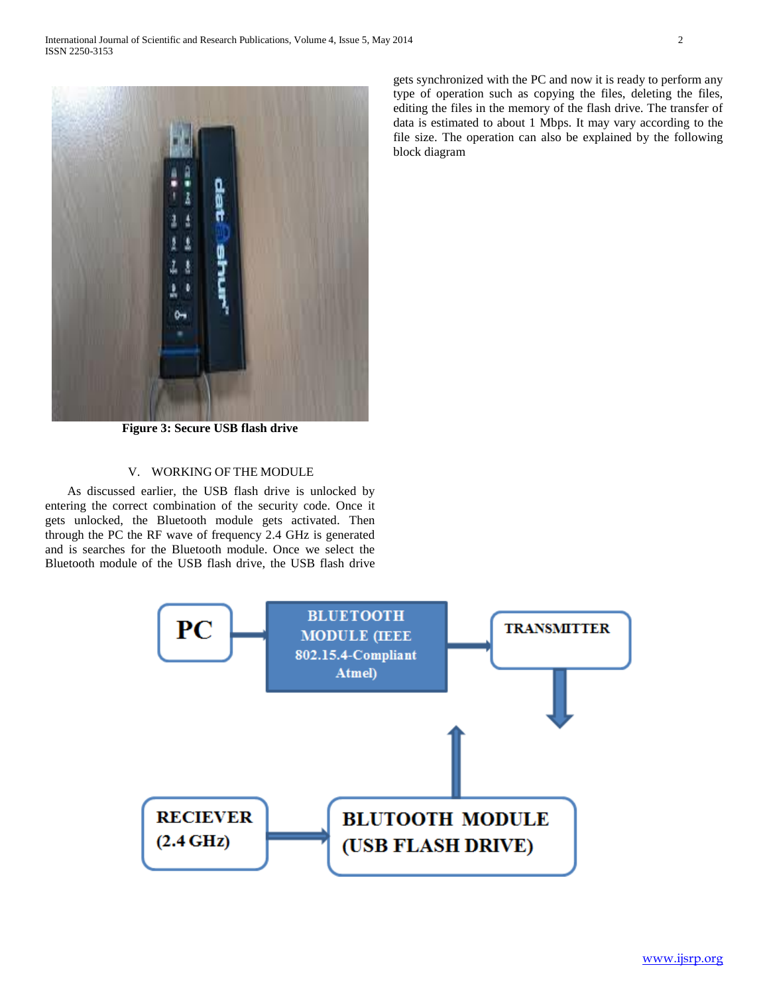

**Figure 3: Secure USB flash drive**

# V. WORKING OF THE MODULE

 As discussed earlier, the USB flash drive is unlocked by entering the correct combination of the security code. Once it gets unlocked, the Bluetooth module gets activated. Then through the PC the RF wave of frequency 2.4 GHz is generated and is searches for the Bluetooth module. Once we select the Bluetooth module of the USB flash drive, the USB flash drive gets synchronized with the PC and now it is ready to perform any type of operation such as copying the files, deleting the files, editing the files in the memory of the flash drive. The transfer of data is estimated to about 1 Mbps. It may vary according to the file size. The operation can also be explained by the following block diagram